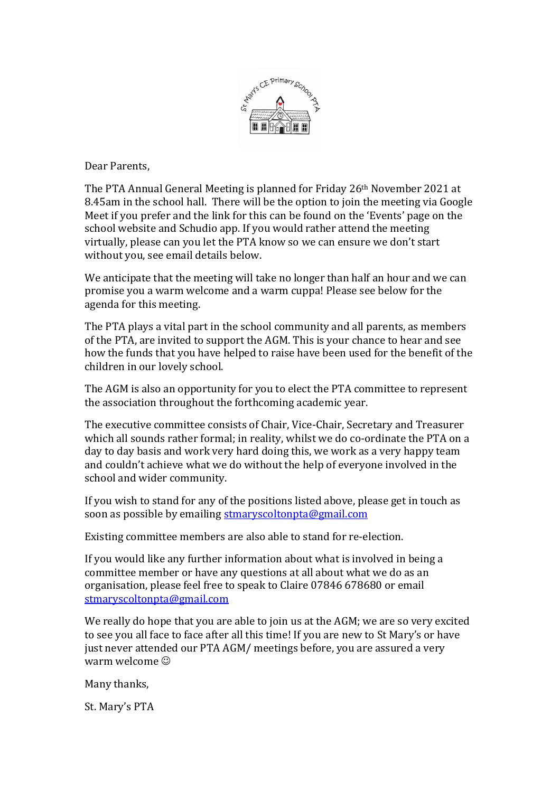

Dear Parents.

The PTA Annual General Meeting is planned for Friday 26<sup>th</sup> November 2021 at 8.45am in the school hall. There will be the option to join the meeting via Google Meet if you prefer and the link for this can be found on the 'Events' page on the school website and Schudio app. If you would rather attend the meeting virtually, please can you let the PTA know so we can ensure we don't start without you, see email details below.

We anticipate that the meeting will take no longer than half an hour and we can promise you a warm welcome and a warm cuppa! Please see below for the agenda for this meeting.

The PTA plays a vital part in the school community and all parents, as members of the PTA, are invited to support the AGM. This is your chance to hear and see how the funds that you have helped to raise have been used for the benefit of the children in our lovely school.

The AGM is also an opportunity for you to elect the PTA committee to represent the association throughout the forthcoming academic year.

The executive committee consists of Chair, Vice-Chair, Secretary and Treasurer which all sounds rather formal; in reality, whilst we do co-ordinate the PTA on a day to day basis and work very hard doing this, we work as a very happy team and couldn't achieve what we do without the help of everyone involved in the school and wider community.

If you wish to stand for any of the positions listed above, please get in touch as soon as possible by emailing stmaryscoltonpta@gmail.com

Existing committee members are also able to stand for re-election.

If you would like any further information about what is involved in being a committee member or have any questions at all about what we do as an organisation, please feel free to speak to Claire 07846 678680 or email stmaryscoltonpta@gmail.com

We really do hope that you are able to join us at the AGM; we are so very excited to see you all face to face after all this time! If you are new to St Mary's or have just never attended our PTA AGM/ meetings before, you are assured a very warm welcome  $\odot$ 

Many thanks,

St. Mary's PTA